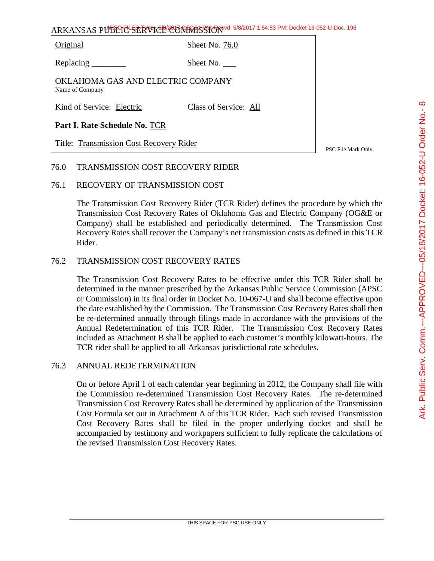ARKANSAS PUBLIC SERVICE COMMISSION 5/8/2017 1:54:53 PM: Docket 16-052-U-Doc. 196

Original Sheet No. 76.0

Replacing Sheet No.

OKLAHOMA GAS AND ELECTRIC COMPANY Name of Company

Kind of Service: Electric Class of Service: All

**Part I. Rate Schedule No.** TCR

Title: Transmission Cost Recovery Rider

PSC File Mark Only

# 76.0 TRANSMISSION COST RECOVERY RIDER

# 76.1 RECOVERY OF TRANSMISSION COST

The Transmission Cost Recovery Rider (TCR Rider) defines the procedure by which the Transmission Cost Recovery Rates of Oklahoma Gas and Electric Company (OG&E or Company) shall be established and periodically determined. The Transmission Cost Recovery Rates shall recover the Company's net transmission costs as defined in this TCR Rider.

# 76.2 TRANSMISSION COST RECOVERY RATES

The Transmission Cost Recovery Rates to be effective under this TCR Rider shall be determined in the manner prescribed by the Arkansas Public Service Commission (APSC or Commission) in its final order in Docket No. 10-067-U and shall become effective upon the date established by the Commission. The Transmission Cost Recovery Rates shall then be re-determined annually through filings made in accordance with the provisions of the Annual Redetermination of this TCR Rider. The Transmission Cost Recovery Rates included as Attachment B shall be applied to each customer's monthly kilowatt-hours. The TCR rider shall be applied to all Arkansas jurisdictional rate schedules.

# 76.3 ANNUAL REDETERMINATION

On or before April 1 of each calendar year beginning in 2012, the Company shall file with the Commission re-determined Transmission Cost Recovery Rates. The re-determined Transmission Cost Recovery Rates shall be determined by application of the Transmission Cost Formula set out in Attachment A of this TCR Rider. Each such revised Transmission Cost Recovery Rates shall be filed in the proper underlying docket and shall be accompanied by testimony and workpapers sufficient to fully replicate the calculations of the revised Transmission Cost Recovery Rates.

 $\infty$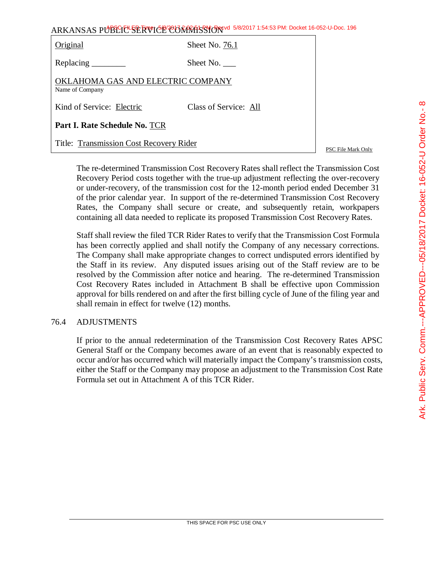| ARKANSAS PUBLICE SERVICE CORRATSSION 5/8/2017 1:54:53 PM: Docket 16-052-U-Doc. 196 |  |
|------------------------------------------------------------------------------------|--|
|------------------------------------------------------------------------------------|--|

| Original                                             | Sheet No. 76.1        |  |  |  |
|------------------------------------------------------|-----------------------|--|--|--|
|                                                      | Sheet No.             |  |  |  |
| OKLAHOMA GAS AND ELECTRIC COMPANY<br>Name of Company |                       |  |  |  |
| Kind of Service: Electric                            | Class of Service: All |  |  |  |
| <b>Part I. Rate Schedule No. TCR</b>                 |                       |  |  |  |
| Title: Transmission Cost Recovery Rider              |                       |  |  |  |

PSC File Mark Only

The re-determined Transmission Cost Recovery Rates shall reflect the Transmission Cost Recovery Period costs together with the true-up adjustment reflecting the over-recovery or under-recovery, of the transmission cost for the 12-month period ended December 31 of the prior calendar year. In support of the re-determined Transmission Cost Recovery Rates, the Company shall secure or create, and subsequently retain, workpapers containing all data needed to replicate its proposed Transmission Cost Recovery Rates.

Staff shall review the filed TCR Rider Rates to verify that the Transmission Cost Formula has been correctly applied and shall notify the Company of any necessary corrections. The Company shall make appropriate changes to correct undisputed errors identified by the Staff in its review. Any disputed issues arising out of the Staff review are to be resolved by the Commission after notice and hearing. The re-determined Transmission Cost Recovery Rates included in Attachment B shall be effective upon Commission approval for bills rendered on and after the first billing cycle of June of the filing year and shall remain in effect for twelve (12) months.

# 76.4 ADJUSTMENTS

If prior to the annual redetermination of the Transmission Cost Recovery Rates APSC General Staff or the Company becomes aware of an event that is reasonably expected to occur and/or has occurred which will materially impact the Company's transmission costs, either the Staff or the Company may propose an adjustment to the Transmission Cost Rate Formula set out in Attachment A of this TCR Rider.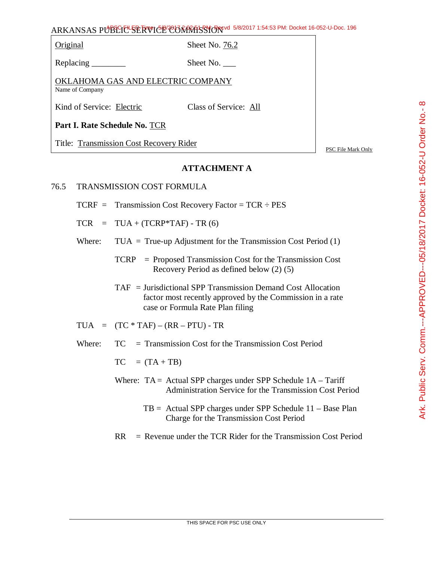ARKANSAS PUBLIC SERVICE COMMISSION 5/8/2017 1:54:53 PM: Docket 16-052-U-Doc. 196

Original Sheet No. 76.2

Replacing Sheet No.

OKLAHOMA GAS AND ELECTRIC COMPANY Name of Company

Kind of Service: Electric Class of Service: All

**Part I. Rate Schedule No.** TCR

Title: Transmission Cost Recovery Rider

PSC File Mark Only

# **ATTACHMENT A**

- 76.5 TRANSMISSION COST FORMULA
	- $TCRF =$  Transmission Cost Recovery Factor = TCR  $\div$  PES
	- $TCR = TUA + (TCRP*TAF) TR (6)$
	- Where:  $TUA = True-up$  Adjustment for the Transmission Cost Period  $(1)$ 
		- TCRP = Proposed Transmission Cost for the Transmission Cost Recovery Period as defined below (2) (5)
		- TAF = Jurisdictional SPP Transmission Demand Cost Allocation factor most recently approved by the Commission in a rate case or Formula Rate Plan filing

$$
TUA = (TC * TAF) - (RR - PTU) - TR
$$

Where:  $TC = Transmission Cost for the Transmission Cost Period$ 

 $TC = (TA + TB)$ 

- Where:  $TA = Actual$  SPP charges under SPP Schedule  $1A T$ ariff Administration Service for the Transmission Cost Period
	- TB = Actual SPP charges under SPP Schedule 11 Base Plan Charge for the Transmission Cost Period

 $RR =$  Revenue under the TCR Rider for the Transmission Cost Period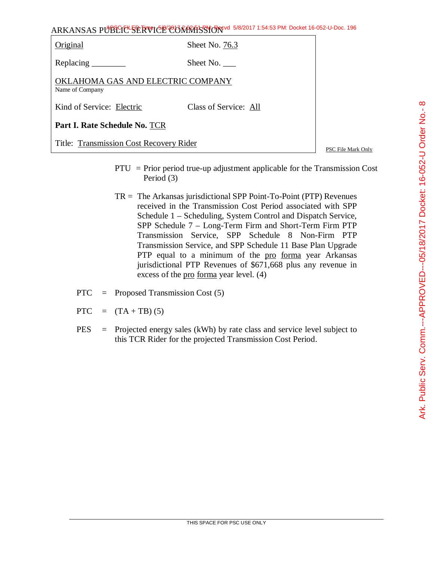| ARKANSAS PUBLICE SERVICE CONTRASSION 5/8/2017 1:54:53 PM: Docket 16-052-U-Doc. 196 |  |
|------------------------------------------------------------------------------------|--|
|                                                                                    |  |

| Original                                             | Sheet No. 76.3        |  |  |
|------------------------------------------------------|-----------------------|--|--|
| Replacing                                            | Sheet No.             |  |  |
| OKLAHOMA GAS AND ELECTRIC COMPANY<br>Name of Company |                       |  |  |
| Kind of Service: Electric                            | Class of Service: All |  |  |
| <b>Part I. Rate Schedule No. TCR</b>                 |                       |  |  |
| Title: Transmission Cost Recovery Rider              |                       |  |  |

PSC File Mark Only

- PTU = Prior period true-up adjustment applicable for the Transmission Cost Period (3)
- $TR = The Arkansas$  jurisdictional SPP Point-To-Point (PTP) Revenues received in the Transmission Cost Period associated with SPP Schedule 1 – Scheduling, System Control and Dispatch Service, SPP Schedule 7 – Long-Term Firm and Short-Term Firm PTP Transmission Service, SPP Schedule 8 Non-Firm PTP Transmission Service, and SPP Schedule 11 Base Plan Upgrade PTP equal to a minimum of the pro forma year Arkansas jurisdictional PTP Revenues of \$671,668 plus any revenue in excess of the <u>pro forma</u> year level. (4)
- PTC = Proposed Transmission Cost (5)
- PTC =  $(TA + TB) (5)$
- PES = Projected energy sales (kWh) by rate class and service level subject to this TCR Rider for the projected Transmission Cost Period.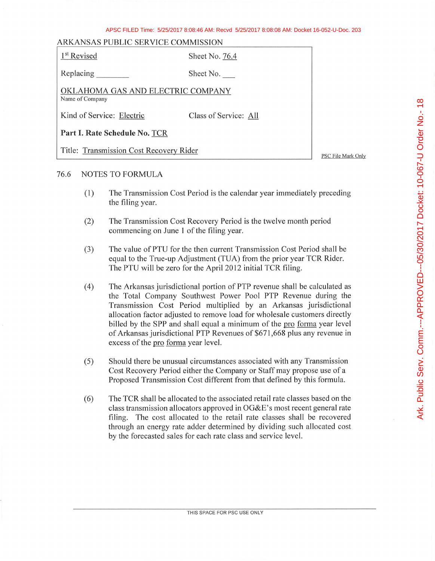#### APSC FILED Time: 5/25/2017 8:08:46 AM: Recvd 5/25/2017 8:08:08 AM: Docket 16-052-U-Doc. 203

### ARKANSAS PUBLIC SERVICE COMMISSION

| 1 <sup>st</sup> Revised                              | Sheet No. 76.4        |  |  |
|------------------------------------------------------|-----------------------|--|--|
|                                                      | Sheet No.             |  |  |
| OKLAHOMA GAS AND ELECTRIC COMPANY<br>Name of Company |                       |  |  |
| Kind of Service: Electric                            | Class of Service: All |  |  |
| Part I. Rate Schedule No. TCR                        |                       |  |  |
| Title: Transmission Cost Recovery Rider              |                       |  |  |

PSC File Mark Only

### 76.6 NOTES TO FORMULA

- (1) The Transmission Cost Period is the calendar year immediately preceding the filing year.
- (2) The Transmission Cost Recovery Period is the twelve month period commencing on June 1 of the filing year.
- (3) The value of PTU for the then current Transmission Cost Period shall be equal to the True-up Adjustment (TUA) from the prior year TCR Rider. The PTU will be zero for the April 2012 initial TCR filing.
- (4) The Arkansas jurisdictional portion of PTP revenue shall be calculated as the Total Company Southwest Power Pool PTP Revenue during the Transmission Cost Period multiplied by an Arkansas jurisdictional allocation factor adjusted to remove load for wholesale customers directly billed by the SPP and shall equal a minimum of the proforma year level of Arkansas jurisdictional PTP Revenues of \$671,668 plus any revenue in excess of the pro forma year level.
- (5) Should there be unusual circumstances associated with any Transmission Cost Recovery Period either the Company or Staff may propose use of a Proposed Transmission Cost different from that defined by this formula.
- (6) The TCR shall be allocated to the associated retail rate classes based on the class transmission allocators approved in OG&E's most recent general rate filing. The cost allocated to the retail rate classes shall be recovered through an energy rate adder determined by dividing such allocated cost by the forecasted sales for each rate class and service level.